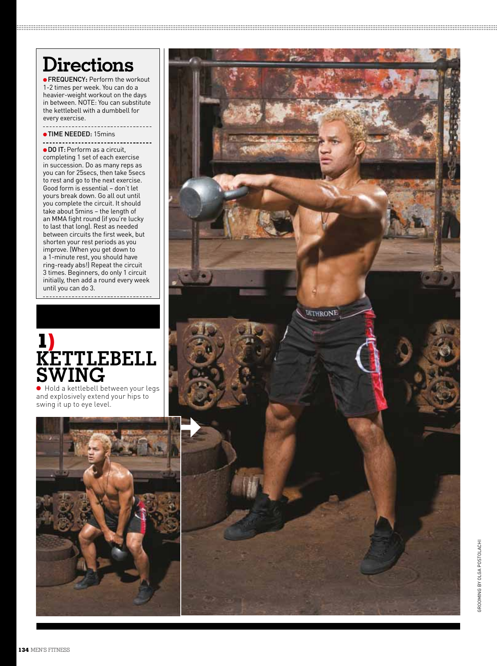### **Directions**

.....................

●FREQUENCY**:** Perform the workout 1-2 times per week. You can do a heavier-weight workout on the days in between. NOTE: You can substitute the kettlebell with a dumbbell for every exercise.

●TIME NEEDED: 15mins

● DO IT: Perform as a circuit completing 1 set of each exercise in succession. Do as many reps as you can for 25secs, then take 5secs to rest and go to the next exercise. Good form is essential – don't let yours break down. Go all out until you complete the circuit. It should take about 5mins – the length of an MMA fight round (if you're lucky to last that long). Rest as needed between circuits the first week, but shorten your rest periods as you improve. (When you get down to a 1-minute rest, you should have ring-ready abs!) Repeat the circuit 3 times. Beginners, do only 1 circuit initially, then add a round every week until you can do 3.

#### **1 ) Kettlebell SWING**<br>• Hold a kettlebell between your legs

and explosively extend your hips to swing it up to eye level.



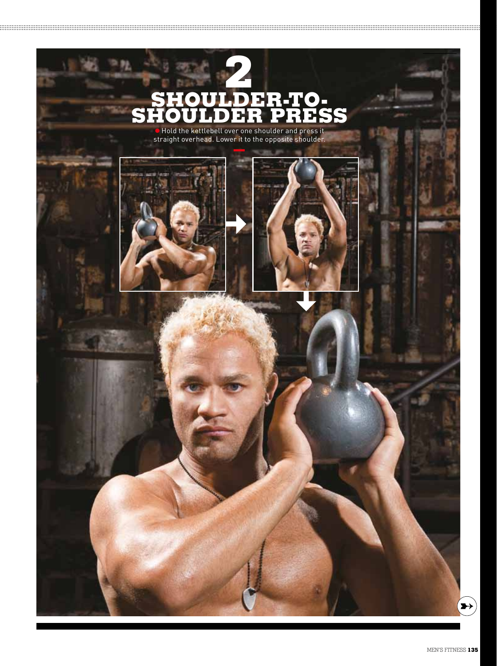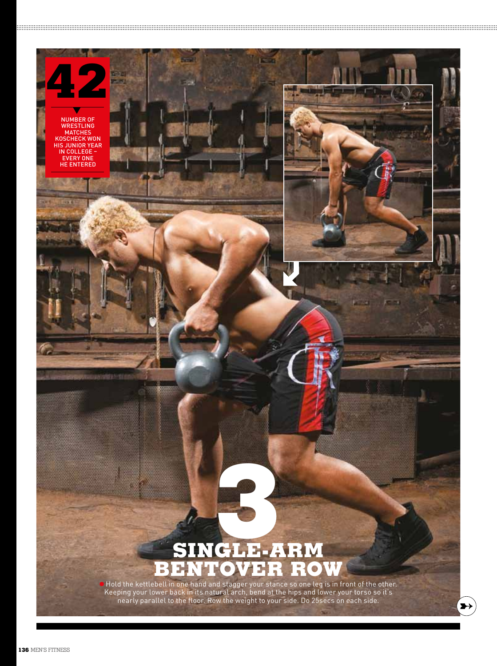

Keeping your lower back in its natural arch, bend at the hips and lower your torso so it's nearly parallel to the floor. Row the weight to your side. Do 25secs on each side.

 $\rightarrow$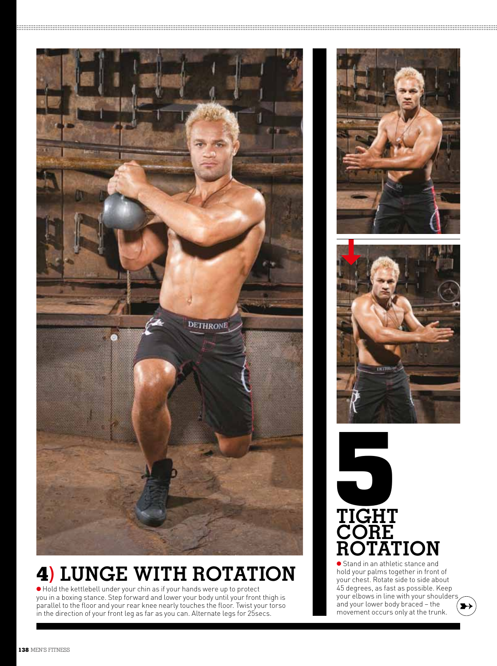

### **4) Lunge With Rotation**

● Hold the kettlebell under your chin as if your hands were up to protect you in a boxing stance. Step forward and lower your body until your front thigh is parallel to the floor and your rear knee nearly touches the floor. Twist your torso in the direction of your front leg as far as you can. Alternate legs for 25secs.







● Stand in an athletic stance and hold your palms together in front of your chest. Rotate side to side about 45 degrees, as fast as possible. Keep your elbows in line with your shoulders and your lower body braced – the movement occurs only at the trunk.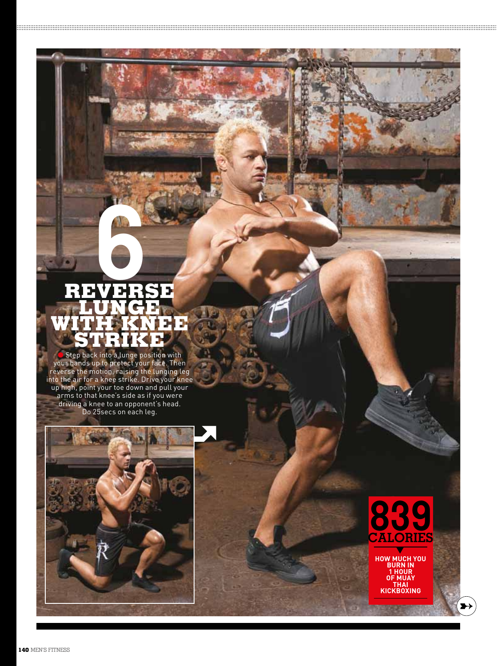# **se Lunge With Knee Stri e k DO 25**<br> **EXPLANCE IN CRIP 1999**<br> **EXPLANCE IN CRIP 1999**<br>
back into a lunge positif<br>
ds up to protect your fa<br>
for a knee to an opponent<br>
that knee's side as if y<br>
a knee to an opponent<br>
Do 25secs on each leg.

B

 $\bullet$  Step back into a lunge position with your hands up to protect your face. Then reverse the motion, raising the lunging leg into the air for a knee strike. Drive your knee up high, point your toe down and pull your arms to that knee's side as if you were driving a knee to an opponent's head.



## **839 calories**÷

**how much you burn in 1 hour of muay thai kickboxing**

 $\blacktriangleright$